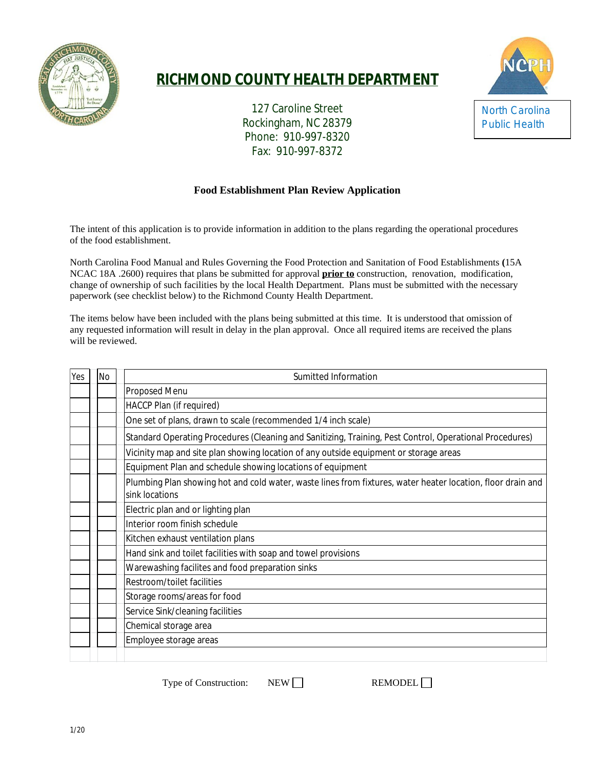

# **RICHMOND COUNTY HEALTH DEPARTMENT**

127 Caroline Street Rockingham, NC 28379 Phone: 910-997-8320 Fax: 910-997-8372



## **Food Establishment Plan Review Application**

The intent of this application is to provide information in addition to the plans regarding the operational procedures of the food establishment.

North Carolina Food Manual and Rules Governing the Food Protection and Sanitation of Food Establishments **(**15A NCAC 18A .2600) requires that plans be submitted for approval **prior to** construction, renovation, modification, change of ownership of such facilities by the local Health Department. Plans must be submitted with the necessary paperwork (see checklist below) to the Richmond County Health Department.

The items below have been included with the plans being submitted at this time. It is understood that omission of any requested information will result in delay in the plan approval. Once all required items are received the plans will be reviewed.

| Yes | <b>No</b> | Sumitted Information                                                                                                          |
|-----|-----------|-------------------------------------------------------------------------------------------------------------------------------|
|     |           | Proposed Menu                                                                                                                 |
|     |           | HACCP Plan (if required)                                                                                                      |
|     |           | One set of plans, drawn to scale (recommended 1/4 inch scale)                                                                 |
|     |           | Standard Operating Procedures (Cleaning and Sanitizing, Training, Pest Control, Operational Procedures)                       |
|     |           | Vicinity map and site plan showing location of any outside equipment or storage areas                                         |
|     |           | Equipment Plan and schedule showing locations of equipment                                                                    |
|     |           | Plumbing Plan showing hot and cold water, waste lines from fixtures, water heater location, floor drain and<br>sink locations |
|     |           | Electric plan and or lighting plan                                                                                            |
|     |           | Interior room finish schedule                                                                                                 |
|     |           | Kitchen exhaust ventilation plans                                                                                             |
|     |           | Hand sink and toilet facilities with soap and towel provisions                                                                |
|     |           | Warewashing facilites and food preparation sinks                                                                              |
|     |           | Restroom/toilet facilities                                                                                                    |
|     |           | Storage rooms/areas for food                                                                                                  |
|     |           | Service Sink/cleaning facilities                                                                                              |
|     |           | Chemical storage area                                                                                                         |
|     |           | Employee storage areas                                                                                                        |
|     |           |                                                                                                                               |

Type of Construction: NEW REMODEL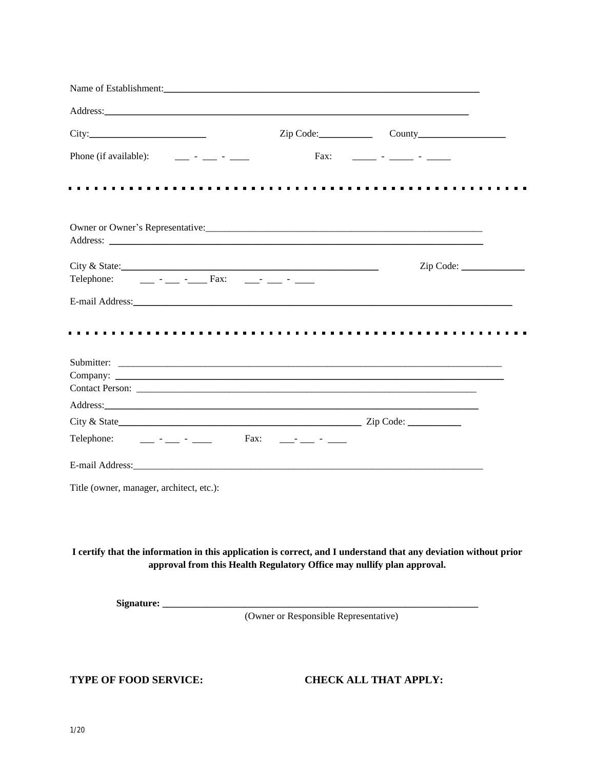| Name of Establishment: Name of Establishment:                                                                                                                                              |                                       |                              |
|--------------------------------------------------------------------------------------------------------------------------------------------------------------------------------------------|---------------------------------------|------------------------------|
|                                                                                                                                                                                            |                                       |                              |
|                                                                                                                                                                                            |                                       | Zip Code: County             |
| Phone (if available):<br><u> 1999 - Andre Standsburg von Berlingen in der Standsburg von Berlingen in der Standsburg von Berlingen in der </u>                                             |                                       | Fax: _______ - _____ - _____ |
|                                                                                                                                                                                            |                                       |                              |
|                                                                                                                                                                                            |                                       |                              |
|                                                                                                                                                                                            |                                       |                              |
| City & State:<br>Telephone: _____ - ____ - _____ Fax: _____- ____ - ____                                                                                                                   |                                       | Zip Code:                    |
|                                                                                                                                                                                            |                                       |                              |
|                                                                                                                                                                                            |                                       |                              |
|                                                                                                                                                                                            |                                       |                              |
|                                                                                                                                                                                            |                                       |                              |
|                                                                                                                                                                                            |                                       |                              |
| Telephone: _____ - ____ - _____ Fax: ____- ___ - ____                                                                                                                                      |                                       |                              |
|                                                                                                                                                                                            |                                       |                              |
| Title (owner, manager, architect, etc.):                                                                                                                                                   |                                       |                              |
|                                                                                                                                                                                            |                                       |                              |
| I certify that the information in this application is correct, and I understand that any deviation without prior<br>approval from this Health Regulatory Office may nullify plan approval. |                                       |                              |
|                                                                                                                                                                                            |                                       |                              |
|                                                                                                                                                                                            | (Owner or Responsible Representative) |                              |
|                                                                                                                                                                                            |                                       |                              |

**TYPE OF FOOD SERVICE: CHECK ALL THAT APPLY:**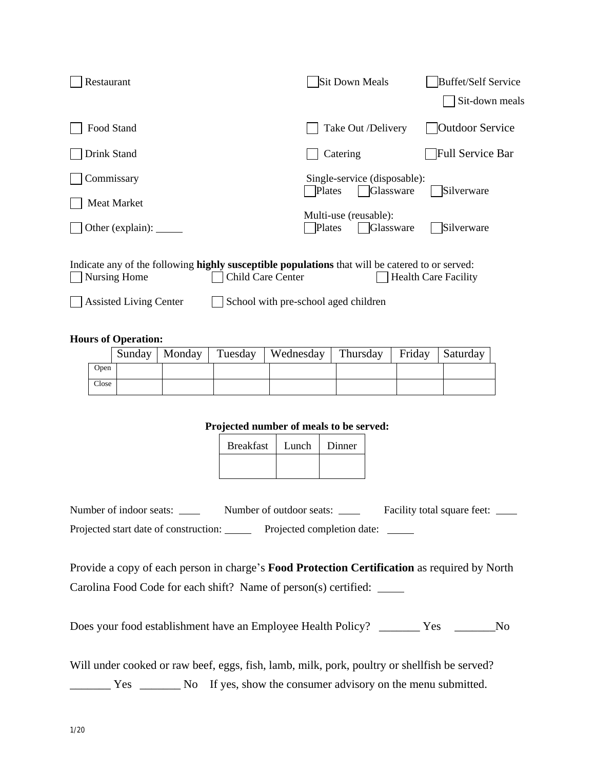| Restaurant                                                                                                                           | Sit Down Meals                                      | Buffet/Self Service         |
|--------------------------------------------------------------------------------------------------------------------------------------|-----------------------------------------------------|-----------------------------|
|                                                                                                                                      |                                                     | Sit-down meals              |
| Food Stand                                                                                                                           | Take Out /Delivery                                  | <b>Outdoor Service</b>      |
| Drink Stand                                                                                                                          | Catering                                            | Full Service Bar            |
| Commissary                                                                                                                           | Single-service (disposable):<br>Glassware<br>Plates | Silverware                  |
| Meat Market                                                                                                                          |                                                     |                             |
|                                                                                                                                      | Multi-use (reusable):<br>Glassware<br>Plates        | Silverware                  |
| Indicate any of the following highly susceptible populations that will be catered to or served:<br>Child Care Center<br>Nursing Home |                                                     | <b>Health Care Facility</b> |
| <b>Assisted Living Center</b>                                                                                                        | School with pre-school aged children                |                             |

## **Hours of Operation:**

|       |  | Sunday   Monday   Tuesday   Wednesday   Thursday   Friday   Saturday |  |  |
|-------|--|----------------------------------------------------------------------|--|--|
| Open  |  |                                                                      |  |  |
| Close |  |                                                                      |  |  |

## **Projected number of meals to be served:**

| <b>Breakfast</b> | Lunch | Dinner |
|------------------|-------|--------|
|                  |       |        |

| Number of indoor seats:               | Number of outdoor seats:   | Facility total square feet: |
|---------------------------------------|----------------------------|-----------------------------|
| Projected start date of construction: | Projected completion date: |                             |

Provide a copy of each person in charge's **Food Protection Certification** as required by North Carolina Food Code for each shift? Name of person(s) certified:

Does your food establishment have an Employee Health Policy?\_\_\_\_\_\_\_ Yes \_\_\_\_\_\_\_No

Will under cooked or raw beef, eggs, fish, lamb, milk, pork, poultry or shellfish be served?

\_\_\_\_\_\_\_ Yes \_\_\_\_\_\_\_ NoIf yes, show the consumer advisory on the menu submitted.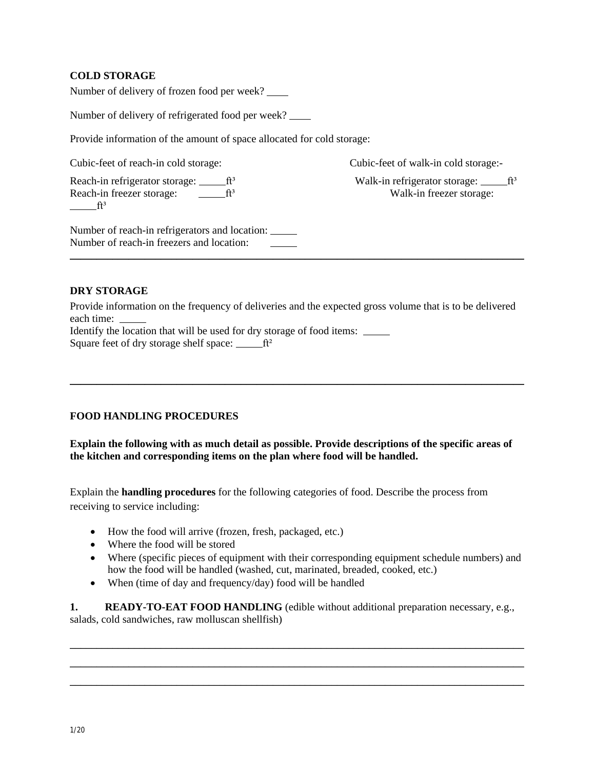## **COLD STORAGE**

Number of delivery of frozen food per week?

Number of delivery of refrigerated food per week?

Provide information of the amount of space allocated for cold storage:

Cubic-feet of reach-in cold storage: Cubic-feet of walk-in cold storage:-

Reach-in refrigerator storage: ft<sup>3</sup> Walk-in refrigerator storage: ft<sup>3</sup> Reach-in freezer storage:  $\frac{f_1^3}{2}$  Walk-in freezer storage:  $f^3$ 

Number of reach-in refrigerators and location: Number of reach-in freezers and location:

#### **DRY STORAGE**

Provide information on the frequency of deliveries and the expected gross volume that is to be delivered each time: \_

\_\_\_\_\_\_\_\_\_\_\_\_\_\_\_\_\_\_\_\_\_\_\_\_\_\_\_\_\_\_\_\_\_\_\_\_\_\_\_\_\_\_\_\_\_\_\_\_\_\_\_\_\_\_\_\_\_\_\_\_\_\_\_\_\_\_\_\_\_\_\_\_\_\_\_\_\_\_\_\_\_\_\_\_\_

 $\_$  , and the set of the set of the set of the set of the set of the set of the set of the set of the set of the set of the set of the set of the set of the set of the set of the set of the set of the set of the set of th

Identify the location that will be used for dry storage of food items: \_\_\_\_\_\_\_\_\_ Square feet of dry storage shelf space:  $\mathbf{f}^2$ 

## **FOOD HANDLING PROCEDURES**

**Explain the following with as much detail as possible. Provide descriptions of the specific areas of the kitchen and corresponding items on the plan where food will be handled.**

Explain the **handling procedures** for the following categories of food. Describe the process from receiving to service including:

- How the food will arrive (frozen, fresh, packaged, etc.)
- Where the food will be stored
- Where (specific pieces of equipment with their corresponding equipment schedule numbers) and how the food will be handled (washed, cut, marinated, breaded, cooked, etc.)
- When (time of day and frequency/day) food will be handled

**1. READY-TO-EAT FOOD HANDLING** (edible without additional preparation necessary, e.g., salads, cold sandwiches, raw molluscan shellfish)

\_\_\_\_\_\_\_\_\_\_\_\_\_\_\_\_\_\_\_\_\_\_\_\_\_\_\_\_\_\_\_\_\_\_\_\_\_\_\_\_\_\_\_\_\_\_\_\_\_\_\_\_\_\_\_\_\_\_\_\_\_\_\_\_\_\_\_\_\_\_\_\_\_\_\_\_\_\_\_\_\_\_\_\_\_ \_\_\_\_\_\_\_\_\_\_\_\_\_\_\_\_\_\_\_\_\_\_\_\_\_\_\_\_\_\_\_\_\_\_\_\_\_\_\_\_\_\_\_\_\_\_\_\_\_\_\_\_\_\_\_\_\_\_\_\_\_\_\_\_\_\_\_\_\_\_\_\_\_\_\_\_\_\_\_\_\_\_\_\_\_ \_\_\_\_\_\_\_\_\_\_\_\_\_\_\_\_\_\_\_\_\_\_\_\_\_\_\_\_\_\_\_\_\_\_\_\_\_\_\_\_\_\_\_\_\_\_\_\_\_\_\_\_\_\_\_\_\_\_\_\_\_\_\_\_\_\_\_\_\_\_\_\_\_\_\_\_\_\_\_\_\_\_\_\_\_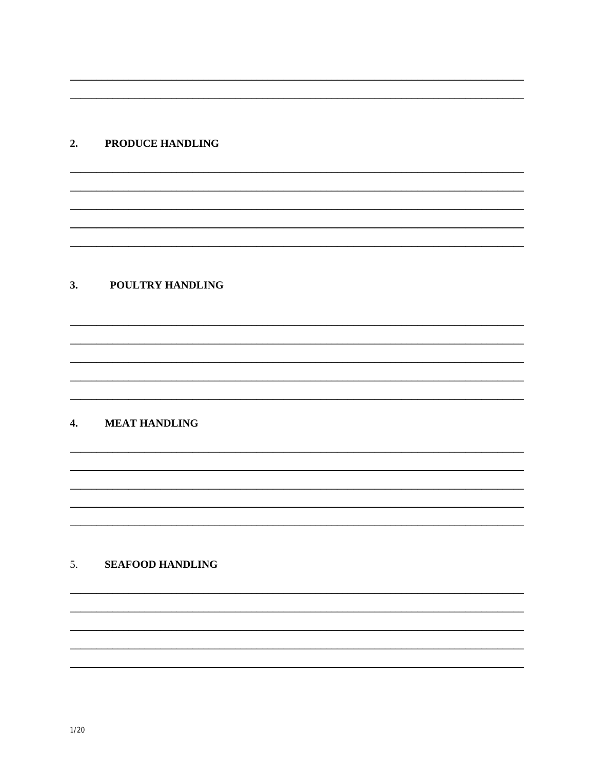## 2. PRODUCE HANDLING

## 3. POULTRY HANDLING

## 4. MEAT HANDLING

## 5. SEAFOOD HANDLING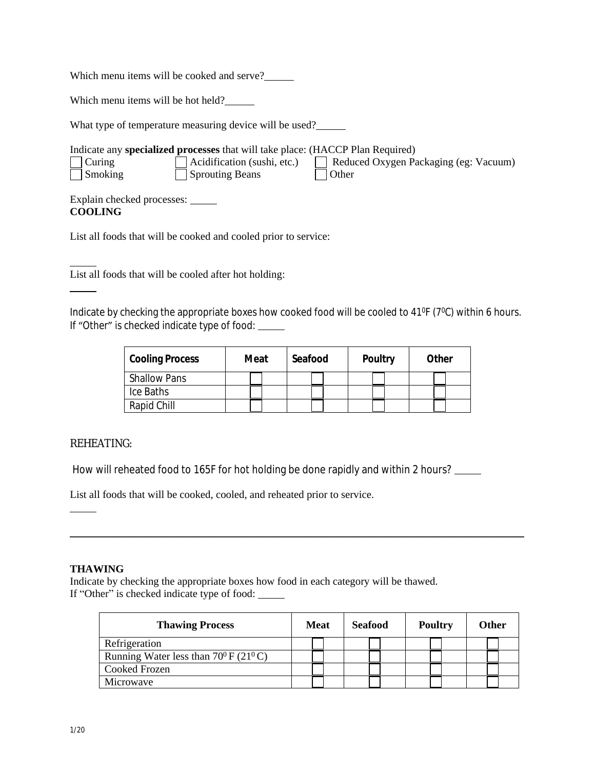Which menu items will be cooked and serve?\_\_\_\_\_

Which menu items will be hot held?

What type of temperature measuring device will be used?

| Indicate any <b>specialized processes</b> that will take place: (HACCP Plan Required)                                                                                                                                                                                                                                                                                                                                                                      |                                                                       |                                                  |  |  |  |  |  |
|------------------------------------------------------------------------------------------------------------------------------------------------------------------------------------------------------------------------------------------------------------------------------------------------------------------------------------------------------------------------------------------------------------------------------------------------------------|-----------------------------------------------------------------------|--------------------------------------------------|--|--|--|--|--|
| $\vert$ Curing<br>$\exists$ Smoking                                                                                                                                                                                                                                                                                                                                                                                                                        | $\sqrt{\phantom{a}}$ Acidification (sushi, etc.)<br>  Sprouting Beans | Reduced Oxygen Packaging (eg: Vacuum)<br>∣ Other |  |  |  |  |  |
| $\mathbf{E} = \mathbf{E} \cdot \mathbf{E} + \mathbf{E} \cdot \mathbf{E} + \mathbf{E} \cdot \mathbf{E} + \mathbf{E} \cdot \mathbf{E} + \mathbf{E} \cdot \mathbf{E} + \mathbf{E} \cdot \mathbf{E} + \mathbf{E} \cdot \mathbf{E} + \mathbf{E} \cdot \mathbf{E} + \mathbf{E} \cdot \mathbf{E} + \mathbf{E} \cdot \mathbf{E} + \mathbf{E} \cdot \mathbf{E} + \mathbf{E} \cdot \mathbf{E} + \mathbf{E} \cdot \mathbf{E} + \mathbf{E} \cdot \mathbf{E} + \mathbf$ |                                                                       |                                                  |  |  |  |  |  |

Explain checked processes: **COOLING**

List all foods that will be cooked and cooled prior to service:

List all foods that will be cooled after hot holding:

Indicate by checking the appropriate boxes how cooked food will be cooled to 41°F (7°C) within 6 hours. If "Other" is checked indicate type of food:

| <b>Cooling Process</b> | Meat | Seafood | <b>Poultry</b> | Other |
|------------------------|------|---------|----------------|-------|
| <b>Shallow Pans</b>    |      |         |                |       |
| Ice Baths              |      |         |                |       |
| Rapid Chill            |      |         |                |       |

 $\_$  , and the set of the set of the set of the set of the set of the set of the set of the set of the set of the set of the set of the set of the set of the set of the set of the set of the set of the set of the set of th

## REHEATING:

How will reheated food to 165F for hot holding be done rapidly and within 2 hours?

List all foods that will be cooked, cooled, and reheated prior to service.

## **THAWING**

Indicate by checking the appropriate boxes how food in each category will be thawed. If "Other" is checked indicate type of food:

| <b>Thawing Process</b>                               | <b>Meat</b> | <b>Seafood</b> | <b>Poultry</b> | Other |
|------------------------------------------------------|-------------|----------------|----------------|-------|
| Refrigeration                                        |             |                |                |       |
| Running Water less than $70^0$ F (21 <sup>0</sup> C) |             |                |                |       |
| Cooked Frozen                                        |             |                |                |       |
| Microwave                                            |             |                |                |       |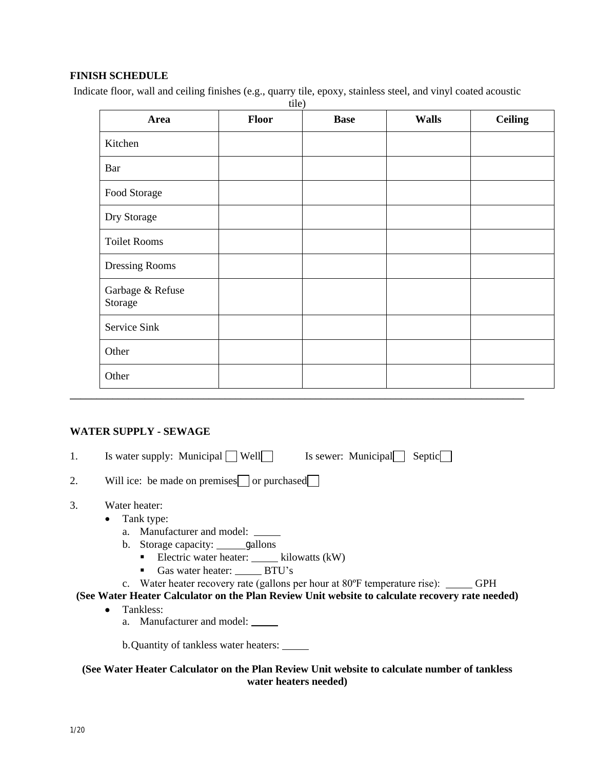## **FINISH SCHEDULE**

Indicate floor, wall and ceiling finishes (e.g., quarry tile, epoxy, stainless steel, and vinyl coated acoustic

| Area                        | <b>Floor</b> | <b>Base</b> | <b>Walls</b> | <b>Ceiling</b> |
|-----------------------------|--------------|-------------|--------------|----------------|
| Kitchen                     |              |             |              |                |
| Bar                         |              |             |              |                |
| Food Storage                |              |             |              |                |
| Dry Storage                 |              |             |              |                |
| <b>Toilet Rooms</b>         |              |             |              |                |
| Dressing Rooms              |              |             |              |                |
| Garbage & Refuse<br>Storage |              |             |              |                |
| Service Sink                |              |             |              |                |
| Other                       |              |             |              |                |
| Other                       |              |             |              |                |

## **WATER SUPPLY - SEWAGE**

1. Is water supply: Municipal  $\Box$  Well Is sewer: Municipal Septic  $\Box$ 

| ۷. |  |  | Will ice: be made on premises or purchased |
|----|--|--|--------------------------------------------|
|----|--|--|--------------------------------------------|

- 3. Water heater:
	- Tank type:
		- a. Manufacturer and model:
		- b. Storage capacity: gallons
			- Electric water heater:  $\frac{1}{\sqrt{2\pi}}$  kilowatts (kW)
			- Gas water heater: \_\_\_\_\_\_ BTU's
		- c. Water heater recovery rate (gallons per hour at 80°F temperature rise): \_\_\_\_\_ GPH

**(See Water Heater Calculator on the Plan Review Unit website to calculate recovery rate needed)**

- Tankless:
	- a. Manufacturer and model:

b.Quantity of tankless water heaters:

**(See Water Heater Calculator on the Plan Review Unit website to calculate number of tankless water heaters needed)**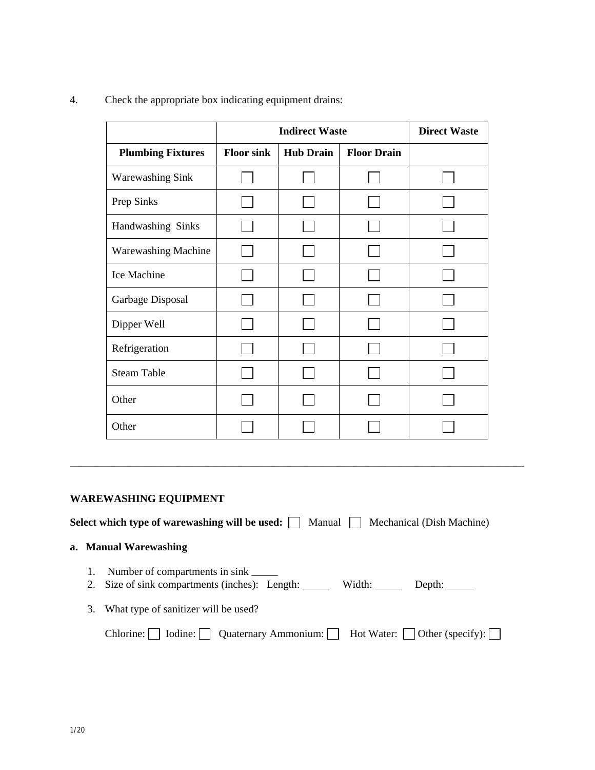4. Check the appropriate box indicating equipment drains:

|                          | <b>Indirect Waste</b> |                  |                    | <b>Direct Waste</b> |
|--------------------------|-----------------------|------------------|--------------------|---------------------|
| <b>Plumbing Fixtures</b> | <b>Floor sink</b>     | <b>Hub Drain</b> | <b>Floor Drain</b> |                     |
| <b>Warewashing Sink</b>  |                       |                  |                    |                     |
| Prep Sinks               |                       |                  |                    |                     |
| Handwashing Sinks        |                       |                  |                    |                     |
| Warewashing Machine      |                       |                  |                    |                     |
| Ice Machine              |                       |                  |                    |                     |
| Garbage Disposal         |                       |                  |                    |                     |
| Dipper Well              |                       |                  |                    |                     |
| Refrigeration            |                       |                  |                    |                     |
| <b>Steam Table</b>       |                       |                  |                    |                     |
| Other                    |                       |                  |                    |                     |
| Other                    |                       |                  |                    |                     |

## **WAREWASHING EQUIPMENT**

**Select which type of warewashing will be used:** Manual Mechanical (Dish Machine)

\_\_\_\_\_\_\_\_\_\_\_\_\_\_\_\_\_\_\_\_\_\_\_\_\_\_\_\_\_\_\_\_\_\_\_\_\_\_\_\_\_\_\_\_\_\_\_\_\_\_\_\_\_\_\_\_\_\_\_\_\_\_\_\_\_\_\_\_\_\_\_\_\_\_\_\_\_\_\_\_\_\_\_\_\_

#### **a. Manual Warewashing**

- 1. Number of compartments in sink
- 2. Size of sink compartments (inches): Length: Width: Depth: Depth:
- 3. What type of sanitizer will be used?

|  |  | Chlorine:     Iodine:     Quaternary Ammonium: | Hot Water: | $\Box$ Other (specify): |
|--|--|------------------------------------------------|------------|-------------------------|
|--|--|------------------------------------------------|------------|-------------------------|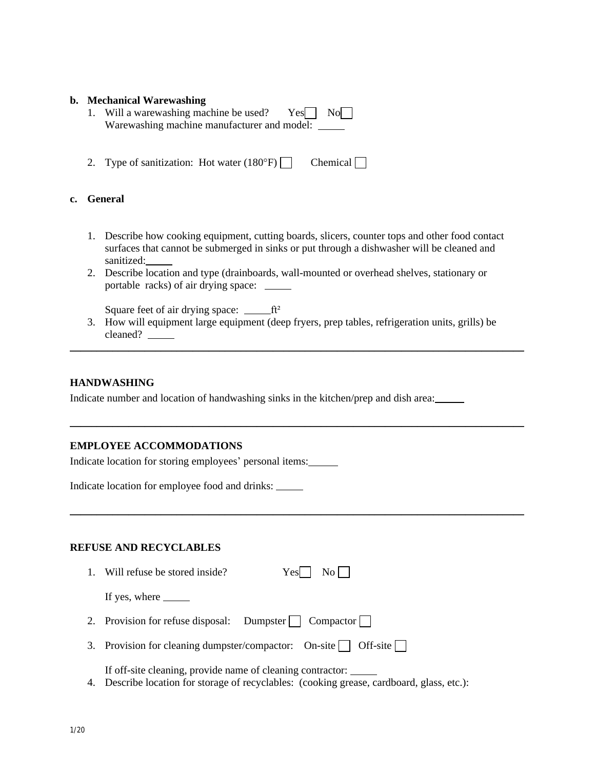#### **b. Mechanical Warewashing**

- 1. Will a warewashing machine be used?  $Yes \n\begin{bmatrix} \n\end{bmatrix} \nNo \n\begin{bmatrix} \n\end{bmatrix}$ Warewashing machine manufacturer and model: \_\_\_\_\_
- 2. Type of sanitization: Hot water  $(180^{\circ}F)$  Chemical

## **c. General**

- 1. Describe how cooking equipment, cutting boards, slicers, counter tops and other food contact surfaces that cannot be submerged in sinks or put through a dishwasher will be cleaned and sanitized:
- 2. Describe location and type (drainboards, wall-mounted or overhead shelves, stationary or portable racks) of air drying space:

Square feet of air drying space:  $f^2$ 

3. How will equipment large equipment (deep fryers, prep tables, refrigeration units, grills) be cleaned? \_\_\_\_\_\_\_\_

 $\_$  , and the set of the set of the set of the set of the set of the set of the set of the set of the set of the set of the set of the set of the set of the set of the set of the set of the set of the set of the set of th

\_\_\_\_\_\_\_\_\_\_\_\_\_\_\_\_\_\_\_\_\_\_\_\_\_\_\_\_\_\_\_\_\_\_\_\_\_\_\_\_\_\_\_\_\_\_\_\_\_\_\_\_\_\_\_\_\_\_\_\_\_\_\_\_\_\_\_\_\_\_\_\_\_\_\_\_\_\_\_\_\_\_\_\_\_

\_\_\_\_\_\_\_\_\_\_\_\_\_\_\_\_\_\_\_\_\_\_\_\_\_\_\_\_\_\_\_\_\_\_\_\_\_\_\_\_\_\_\_\_\_\_\_\_\_\_\_\_\_\_\_\_\_\_\_\_\_\_\_\_\_\_\_\_\_\_\_\_\_\_\_\_\_\_\_\_\_\_\_\_\_

#### **HANDWASHING**

Indicate number and location of handwashing sinks in the kitchen/prep and dish area:

## **EMPLOYEE ACCOMMODATIONS**

Indicate location for storing employees' personal items:

Indicate location for employee food and drinks:

## **REFUSE AND RECYCLABLES**

| 1. Will refuse be stored inside?                                      | $Yes \mid No \mid$ |
|-----------------------------------------------------------------------|--------------------|
| If yes, where $\_\_\_\_\_\_\_\_\_\$                                   |                    |
| 2. Provision for refuse disposal: Dumpster   Compactor                |                    |
| 3. Provision for cleaning dumpster/compactor: On-site $\Box$ Off-site |                    |

If off-site cleaning, provide name of cleaning contractor:

4. Describe location for storage of recyclables: (cooking grease, cardboard, glass, etc.):